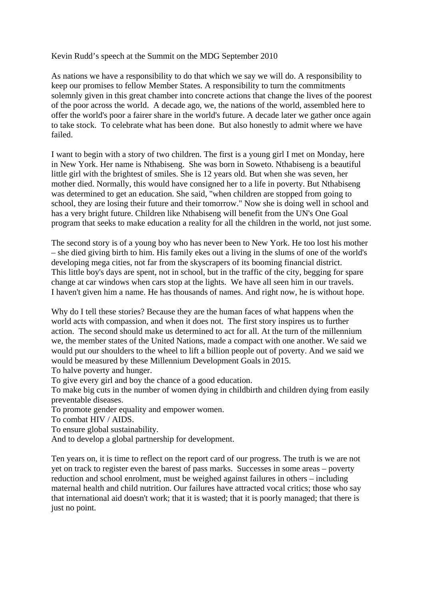## Kevin Rudd's speech at the Summit on the MDG September 2010

As nations we have a responsibility to do that which we say we will do. A responsibility to keep our promises to fellow Member States. A responsibility to turn the commitments solemnly given in this great chamber into concrete actions that change the lives of the poorest of the poor across the world. A decade ago, we, the nations of the world, assembled here to offer the world's poor a fairer share in the world's future. A decade later we gather once again to take stock. To celebrate what has been done. But also honestly to admit where we have failed.

I want to begin with a story of two children. The first is a young girl I met on Monday, here in New York. Her name is Nthabiseng. She was born in Soweto. Nthabiseng is a beautiful little girl with the brightest of smiles. She is 12 years old. But when she was seven, her mother died. Normally, this would have consigned her to a life in poverty. But Nthabiseng was determined to get an education. She said, "when children are stopped from going to school, they are losing their future and their tomorrow." Now she is doing well in school and has a very bright future. Children like Nthabiseng will benefit from the UN's One Goal program that seeks to make education a reality for all the children in the world, not just some.

The second story is of a young boy who has never been to New York. He too lost his mother – she died giving birth to him. His family ekes out a living in the slums of one of the world's developing mega cities, not far from the skyscrapers of its booming financial district. This little boy's days are spent, not in school, but in the traffic of the city, begging for spare change at car windows when cars stop at the lights. We have all seen him in our travels. I haven't given him a name. He has thousands of names. And right now, he is without hope.

Why do I tell these stories? Because they are the human faces of what happens when the world acts with compassion, and when it does not. The first story inspires us to further action. The second should make us determined to act for all. At the turn of the millennium we, the member states of the United Nations, made a compact with one another. We said we would put our shoulders to the wheel to lift a billion people out of poverty. And we said we would be measured by these Millennium Development Goals in 2015.

To halve poverty and hunger.

To give every girl and boy the chance of a good education.

To make big cuts in the number of women dying in childbirth and children dying from easily preventable diseases.

To promote gender equality and empower women.

To combat HIV / AIDS.

To ensure global sustainability.

And to develop a global partnership for development.

Ten years on, it is time to reflect on the report card of our progress. The truth is we are not yet on track to register even the barest of pass marks. Successes in some areas – poverty reduction and school enrolment, must be weighed against failures in others – including maternal health and child nutrition. Our failures have attracted vocal critics; those who say that international aid doesn't work; that it is wasted; that it is poorly managed; that there is just no point.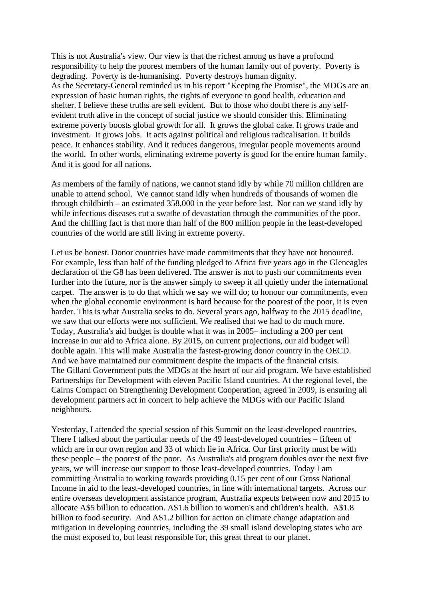This is not Australia's view. Our view is that the richest among us have a profound responsibility to help the poorest members of the human family out of poverty. Poverty is degrading. Poverty is de-humanising. Poverty destroys human dignity. As the Secretary-General reminded us in his report "Keeping the Promise", the MDGs are an expression of basic human rights, the rights of everyone to good health, education and shelter. I believe these truths are self evident. But to those who doubt there is any selfevident truth alive in the concept of social justice we should consider this. Eliminating extreme poverty boosts global growth for all. It grows the global cake. It grows trade and investment. It grows jobs. It acts against political and religious radicalisation. It builds peace. It enhances stability. And it reduces dangerous, irregular people movements around the world. In other words, eliminating extreme poverty is good for the entire human family. And it is good for all nations.

As members of the family of nations, we cannot stand idly by while 70 million children are unable to attend school. We cannot stand idly when hundreds of thousands of women die through childbirth – an estimated 358,000 in the year before last. Nor can we stand idly by while infectious diseases cut a swathe of devastation through the communities of the poor. And the chilling fact is that more than half of the 800 million people in the least-developed countries of the world are still living in extreme poverty.

Let us be honest. Donor countries have made commitments that they have not honoured. For example, less than half of the funding pledged to Africa five years ago in the Gleneagles declaration of the G8 has been delivered. The answer is not to push our commitments even further into the future, nor is the answer simply to sweep it all quietly under the international carpet. The answer is to do that which we say we will do; to honour our commitments, even when the global economic environment is hard because for the poorest of the poor, it is even harder. This is what Australia seeks to do. Several years ago, halfway to the 2015 deadline, we saw that our efforts were not sufficient. We realised that we had to do much more. Today, Australia's aid budget is double what it was in 2005– including a 200 per cent increase in our aid to Africa alone. By 2015, on current projections, our aid budget will double again. This will make Australia the fastest-growing donor country in the OECD. And we have maintained our commitment despite the impacts of the financial crisis. The Gillard Government puts the MDGs at the heart of our aid program. We have established Partnerships for Development with eleven Pacific Island countries. At the regional level, the Cairns Compact on Strengthening Development Cooperation, agreed in 2009, is ensuring all development partners act in concert to help achieve the MDGs with our Pacific Island neighbours.

Yesterday, I attended the special session of this Summit on the least-developed countries. There I talked about the particular needs of the 49 least-developed countries – fifteen of which are in our own region and 33 of which lie in Africa. Our first priority must be with these people – the poorest of the poor. As Australia's aid program doubles over the next five years, we will increase our support to those least-developed countries. Today I am committing Australia to working towards providing 0.15 per cent of our Gross National Income in aid to the least-developed countries, in line with international targets. Across our entire overseas development assistance program, Australia expects between now and 2015 to allocate A\$5 billion to education. A\$1.6 billion to women's and children's health. A\$1.8 billion to food security. And A\$1.2 billion for action on climate change adaptation and mitigation in developing countries, including the 39 small island developing states who are the most exposed to, but least responsible for, this great threat to our planet.